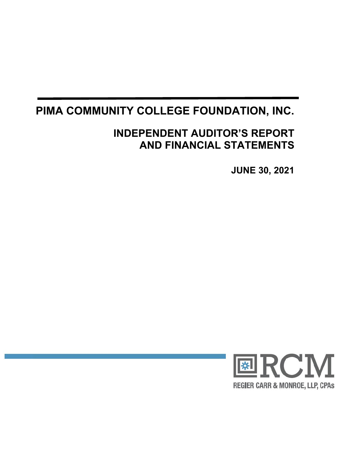# **PIMA COMMUNITY COLLEGE FOUNDATION, INC.**

# **INDEPENDENT AUDITOR'S REPORT AND FINANCIAL STATEMENTS**

**JUNE 30, 2021** 

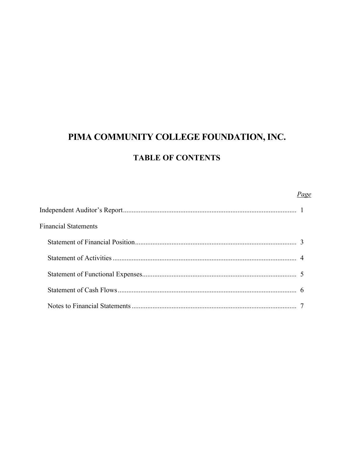# PIMA COMMUNITY COLLEGE FOUNDATION, INC.

# **TABLE OF CONTENTS**

| <b>Financial Statements</b> |  |
|-----------------------------|--|
|                             |  |
|                             |  |
|                             |  |
|                             |  |
|                             |  |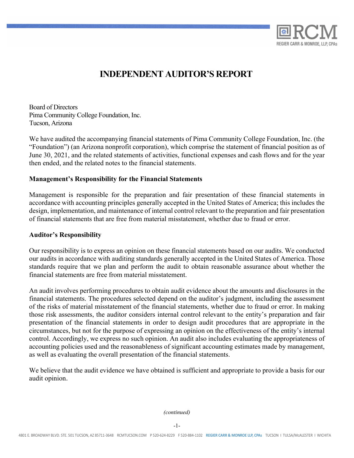

# **INDEPENDENT AUDITOR'S REPORT**

Board of Directors Pima Community College Foundation, Inc. Tucson, Arizona

We have audited the accompanying financial statements of Pima Community College Foundation, Inc. (the "Foundation") (an Arizona nonprofit corporation), which comprise the statement of financial position as of June 30, 2021, and the related statements of activities, functional expenses and cash flows and for the year then ended, and the related notes to the financial statements.

#### **Management's Responsibility for the Financial Statements**

Management is responsible for the preparation and fair presentation of these financial statements in accordance with accounting principles generally accepted in the United States of America; this includes the design, implementation, and maintenance of internal control relevant to the preparation and fair presentation of financial statements that are free from material misstatement, whether due to fraud or error.

#### **Auditor's Responsibility**

Our responsibility is to express an opinion on these financial statements based on our audits. We conducted our audits in accordance with auditing standards generally accepted in the United States of America. Those standards require that we plan and perform the audit to obtain reasonable assurance about whether the financial statements are free from material misstatement.

An audit involves performing procedures to obtain audit evidence about the amounts and disclosures in the financial statements. The procedures selected depend on the auditor's judgment, including the assessment of the risks of material misstatement of the financial statements, whether due to fraud or error. In making those risk assessments, the auditor considers internal control relevant to the entity's preparation and fair presentation of the financial statements in order to design audit procedures that are appropriate in the circumstances, but not for the purpose of expressing an opinion on the effectiveness of the entity's internal control. Accordingly, we express no such opinion. An audit also includes evaluating the appropriateness of accounting policies used and the reasonableness of significant accounting estimates made by management, as well as evaluating the overall presentation of the financial statements.

We believe that the audit evidence we have obtained is sufficient and appropriate to provide a basis for our audit opinion.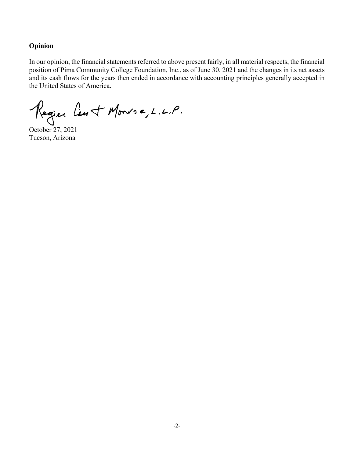## **Opinion**

In our opinion, the financial statements referred to above present fairly, in all material respects, the financial position of Pima Community College Foundation, Inc., as of June 30, 2021 and the changes in its net assets and its cash flows for the years then ended in accordance with accounting principles generally accepted in the United States of America.

Regier Lan Honvie, L.L.P.<br>October 27, 2021

Tucson, Arizona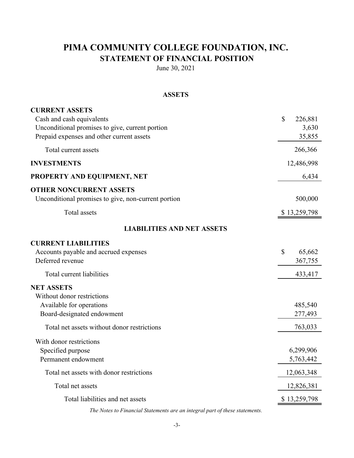# **PIMA COMMUNITY COLLEGE FOUNDATION, INC. STATEMENT OF FINANCIAL POSITION**

June 30, 2021

# **ASSETS**

| <b>CURRENT ASSETS</b>                               |               |
|-----------------------------------------------------|---------------|
| Cash and cash equivalents                           | \$<br>226,881 |
| Unconditional promises to give, current portion     | 3,630         |
| Prepaid expenses and other current assets           | 35,855        |
| Total current assets                                | 266,366       |
| <b>INVESTMENTS</b>                                  | 12,486,998    |
| PROPERTY AND EQUIPMENT, NET                         | 6,434         |
| <b>OTHER NONCURRENT ASSETS</b>                      |               |
| Unconditional promises to give, non-current portion | 500,000       |
| <b>Total</b> assets                                 | \$13,259,798  |
| <b>LIABILITIES AND NET ASSETS</b>                   |               |
| <b>CURRENT LIABILITIES</b>                          |               |
| Accounts payable and accrued expenses               | \$<br>65,662  |
| Deferred revenue                                    | 367,755       |
| Total current liabilities                           | 433,417       |
| <b>NET ASSETS</b>                                   |               |
| Without donor restrictions                          |               |
| Available for operations                            | 485,540       |
| Board-designated endowment                          | 277,493       |
| Total net assets without donor restrictions         | 763,033       |
| With donor restrictions                             |               |
| Specified purpose                                   | 6,299,906     |
| Permanent endowment                                 | 5,763,442     |
| Total net assets with donor restrictions            | 12,063,348    |
| Total net assets                                    | 12,826,381    |
| Total liabilities and net assets                    | \$13,259,798  |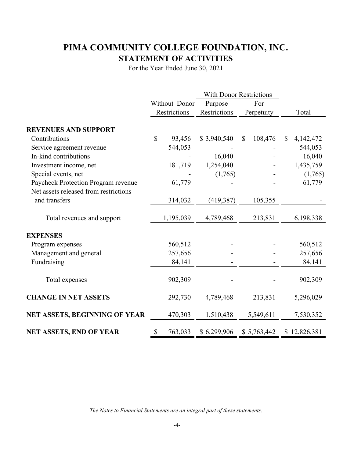# **PIMA COMMUNITY COLLEGE FOUNDATION, INC. STATEMENT OF ACTIVITIES**

For the Year Ended June 30, 2021

|                                       |              |               | <b>With Donor Restrictions</b> |               |             |              |              |
|---------------------------------------|--------------|---------------|--------------------------------|---------------|-------------|--------------|--------------|
|                                       |              | Without Donor | Purpose                        |               | For         |              |              |
|                                       |              | Restrictions  | Restrictions                   |               | Perpetuity  |              | Total        |
|                                       |              |               |                                |               |             |              |              |
| <b>REVENUES AND SUPPORT</b>           |              |               |                                |               |             |              |              |
| Contributions                         | $\mathbb{S}$ | 93,456        | \$3,940,540                    | $\mathcal{S}$ | 108,476     | $\mathbb{S}$ | 4,142,472    |
| Service agreement revenue             |              | 544,053       |                                |               |             |              | 544,053      |
| In-kind contributions                 |              |               | 16,040                         |               |             |              | 16,040       |
| Investment income, net                |              | 181,719       | 1,254,040                      |               |             |              | 1,435,759    |
| Special events, net                   |              |               | (1,765)                        |               |             |              | (1,765)      |
| Paycheck Protection Program revenue   |              | 61,779        |                                |               |             |              | 61,779       |
| Net assets released from restrictions |              |               |                                |               |             |              |              |
| and transfers                         |              | 314,032       | (419,387)                      |               | 105,355     |              |              |
|                                       |              |               |                                |               |             |              |              |
| Total revenues and support            |              | 1,195,039     | 4,789,468                      |               | 213,831     |              | 6,198,338    |
| <b>EXPENSES</b>                       |              |               |                                |               |             |              |              |
| Program expenses                      |              | 560,512       |                                |               |             |              | 560,512      |
| Management and general                |              | 257,656       |                                |               |             |              | 257,656      |
| Fundraising                           |              | 84,141        |                                |               |             |              | 84,141       |
|                                       |              |               |                                |               |             |              |              |
| Total expenses                        |              | 902,309       |                                |               |             |              | 902,309      |
| <b>CHANGE IN NET ASSETS</b>           |              | 292,730       | 4,789,468                      |               | 213,831     |              | 5,296,029    |
| NET ASSETS, BEGINNING OF YEAR         |              | 470,303       | 1,510,438                      |               | 5,549,611   |              | 7,530,352    |
| NET ASSETS, END OF YEAR               | \$           | 763,033       | \$6,299,906                    |               | \$5,763,442 |              | \$12,826,381 |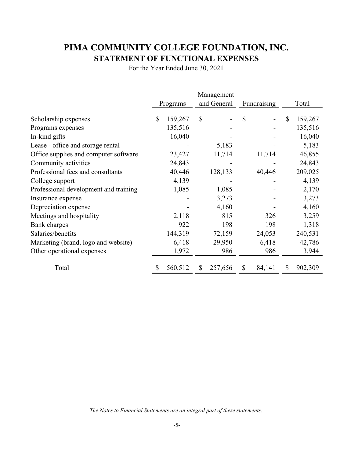# **PIMA COMMUNITY COLLEGE FOUNDATION, INC. STATEMENT OF FUNCTIONAL EXPENSES**

For the Year Ended June 30, 2021

|                                       | Management |          |              |             |              |             |    |         |
|---------------------------------------|------------|----------|--------------|-------------|--------------|-------------|----|---------|
|                                       |            | Programs |              | and General |              | Fundraising |    | Total   |
| Scholarship expenses                  | \$         | 159,267  | $\mathbb{S}$ |             | \$           |             | \$ | 159,267 |
| Programs expenses                     |            | 135,516  |              |             |              |             |    | 135,516 |
| In-kind gifts                         |            | 16,040   |              |             |              |             |    | 16,040  |
| Lease - office and storage rental     |            |          |              | 5,183       |              |             |    | 5,183   |
| Office supplies and computer software |            | 23,427   |              | 11,714      |              | 11,714      |    | 46,855  |
| Community activities                  |            | 24,843   |              |             |              |             |    | 24,843  |
| Professional fees and consultants     |            | 40,446   |              | 128,133     |              | 40,446      |    | 209,025 |
| College support                       |            | 4,139    |              |             |              |             |    | 4,139   |
| Professional development and training |            | 1,085    |              | 1,085       |              |             |    | 2,170   |
| Insurance expense                     |            |          |              | 3,273       |              |             |    | 3,273   |
| Depreciation expense                  |            |          |              | 4,160       |              |             |    | 4,160   |
| Meetings and hospitality              |            | 2,118    |              | 815         |              | 326         |    | 3,259   |
| Bank charges                          |            | 922      |              | 198         |              | 198         |    | 1,318   |
| Salaries/benefits                     |            | 144,319  |              | 72,159      |              | 24,053      |    | 240,531 |
| Marketing (brand, logo and website)   |            | 6,418    |              | 29,950      |              | 6,418       |    | 42,786  |
| Other operational expenses            |            | 1,972    |              | 986         |              | 986         |    | 3,944   |
| Total                                 |            | 560,512  | S.           | 257,656     | $\mathbb{S}$ | 84,141      | \$ | 902,309 |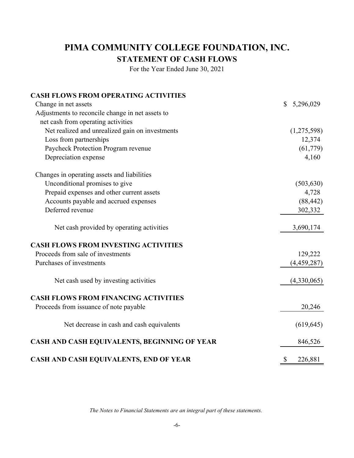# **PIMA COMMUNITY COLLEGE FOUNDATION, INC. STATEMENT OF CASH FLOWS**

For the Year Ended June 30, 2021

| <b>CASH FLOWS FROM OPERATING ACTIVITIES</b>      |                           |
|--------------------------------------------------|---------------------------|
| Change in net assets                             | $\mathbb{S}$<br>5,296,029 |
| Adjustments to reconcile change in net assets to |                           |
| net cash from operating activities               |                           |
| Net realized and unrealized gain on investments  | (1,275,598)               |
| Loss from partnerships                           | 12,374                    |
| Paycheck Protection Program revenue              | (61, 779)                 |
| Depreciation expense                             | 4,160                     |
| Changes in operating assets and liabilities      |                           |
| Unconditional promises to give                   | (503, 630)                |
| Prepaid expenses and other current assets        | 4,728                     |
| Accounts payable and accrued expenses            | (88, 442)                 |
| Deferred revenue                                 | 302,332                   |
| Net cash provided by operating activities        | 3,690,174                 |
| <b>CASH FLOWS FROM INVESTING ACTIVITIES</b>      |                           |
| Proceeds from sale of investments                | 129,222                   |
| Purchases of investments                         | (4,459,287)               |
| Net cash used by investing activities            | (4,330,065)               |
| <b>CASH FLOWS FROM FINANCING ACTIVITIES</b>      |                           |
| Proceeds from issuance of note payable           | 20,246                    |
| Net decrease in cash and cash equivalents        | (619, 645)                |
| CASH AND CASH EQUIVALENTS, BEGINNING OF YEAR     | 846,526                   |
| CASH AND CASH EQUIVALENTS, END OF YEAR           | \$<br>226,881             |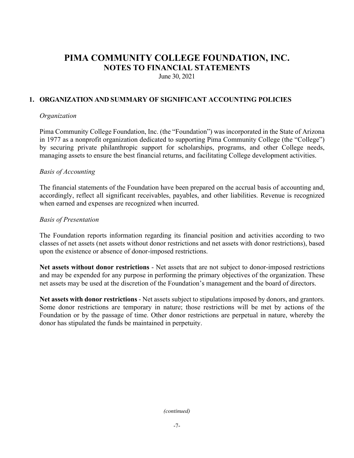# **PIMA COMMUNITY COLLEGE FOUNDATION, INC. NOTES TO FINANCIAL STATEMENTS**

June 30, 2021

# **1. ORGANIZATION AND SUMMARY OF SIGNIFICANT ACCOUNTING POLICIES**

# *Organization*

Pima Community College Foundation, Inc. (the "Foundation") was incorporated in the State of Arizona in 1977 as a nonprofit organization dedicated to supporting Pima Community College (the "College") by securing private philanthropic support for scholarships, programs, and other College needs, managing assets to ensure the best financial returns, and facilitating College development activities.

## *Basis of Accounting*

The financial statements of the Foundation have been prepared on the accrual basis of accounting and, accordingly, reflect all significant receivables, payables, and other liabilities. Revenue is recognized when earned and expenses are recognized when incurred.

## *Basis of Presentation*

The Foundation reports information regarding its financial position and activities according to two classes of net assets (net assets without donor restrictions and net assets with donor restrictions), based upon the existence or absence of donor-imposed restrictions.

**Net assets without donor restrictions** - Net assets that are not subject to donor-imposed restrictions and may be expended for any purpose in performing the primary objectives of the organization. These net assets may be used at the discretion of the Foundation's management and the board of directors.

**Net assets with donor restrictions** - Net assets subject to stipulations imposed by donors, and grantors. Some donor restrictions are temporary in nature; those restrictions will be met by actions of the Foundation or by the passage of time. Other donor restrictions are perpetual in nature, whereby the donor has stipulated the funds be maintained in perpetuity.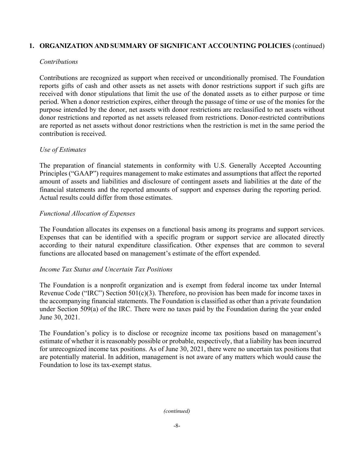#### *Contributions*

Contributions are recognized as support when received or unconditionally promised. The Foundation reports gifts of cash and other assets as net assets with donor restrictions support if such gifts are received with donor stipulations that limit the use of the donated assets as to either purpose or time period. When a donor restriction expires, either through the passage of time or use of the monies for the purpose intended by the donor, net assets with donor restrictions are reclassified to net assets without donor restrictions and reported as net assets released from restrictions. Donor-restricted contributions are reported as net assets without donor restrictions when the restriction is met in the same period the contribution is received.

# *Use of Estimates*

The preparation of financial statements in conformity with U.S. Generally Accepted Accounting Principles ("GAAP") requires management to make estimates and assumptions that affect the reported amount of assets and liabilities and disclosure of contingent assets and liabilities at the date of the financial statements and the reported amounts of support and expenses during the reporting period. Actual results could differ from those estimates.

#### *Functional Allocation of Expenses*

The Foundation allocates its expenses on a functional basis among its programs and support services. Expenses that can be identified with a specific program or support service are allocated directly according to their natural expenditure classification. Other expenses that are common to several functions are allocated based on management's estimate of the effort expended.

#### *Income Tax Status and Uncertain Tax Positions*

The Foundation is a nonprofit organization and is exempt from federal income tax under Internal Revenue Code ("IRC") Section 501(c)(3). Therefore, no provision has been made for income taxes in the accompanying financial statements. The Foundation is classified as other than a private foundation under Section 509(a) of the IRC. There were no taxes paid by the Foundation during the year ended June 30, 2021.

The Foundation's policy is to disclose or recognize income tax positions based on management's estimate of whether it is reasonably possible or probable, respectively, that a liability has been incurred for unrecognized income tax positions. As of June 30, 2021, there were no uncertain tax positions that are potentially material. In addition, management is not aware of any matters which would cause the Foundation to lose its tax-exempt status.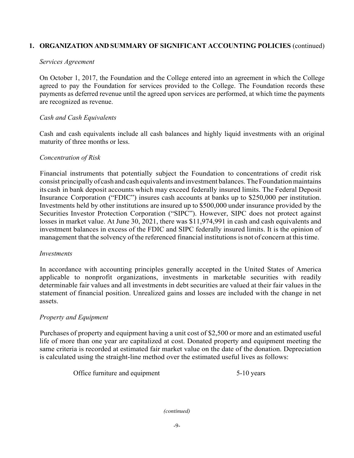#### *Services Agreement*

On October 1, 2017, the Foundation and the College entered into an agreement in which the College agreed to pay the Foundation for services provided to the College. The Foundation records these payments as deferred revenue until the agreed upon services are performed, at which time the payments are recognized as revenue.

#### *Cash and Cash Equivalents*

Cash and cash equivalents include all cash balances and highly liquid investments with an original maturity of three months or less.

## *Concentration of Risk*

Financial instruments that potentially subject the Foundation to concentrations of credit risk consist principally of cash and cash equivalents and investment balances. The Foundation maintains its cash in bank deposit accounts which may exceed federally insured limits. The Federal Deposit Insurance Corporation ("FDIC") insures cash accounts at banks up to \$250,000 per institution. Investments held by other institutions are insured up to \$500,000 under insurance provided by the Securities Investor Protection Corporation ("SIPC"). However, SIPC does not protect against losses in market value. At June 30, 2021, there was \$11,974,991 in cash and cash equivalents and investment balances in excess of the FDIC and SIPC federally insured limits. It is the opinion of management that the solvency of the referenced financial institutions is not of concern at this time.

#### *Investments*

In accordance with accounting principles generally accepted in the United States of America applicable to nonprofit organizations, investments in marketable securities with readily determinable fair values and all investments in debt securities are valued at their fair values in the statement of financial position. Unrealized gains and losses are included with the change in net assets.

#### *Property and Equipment*

Purchases of property and equipment having a unit cost of \$2,500 or more and an estimated useful life of more than one year are capitalized at cost. Donated property and equipment meeting the same criteria is recorded at estimated fair market value on the date of the donation. Depreciation is calculated using the straight-line method over the estimated useful lives as follows:

Office furniture and equipment 5-10 years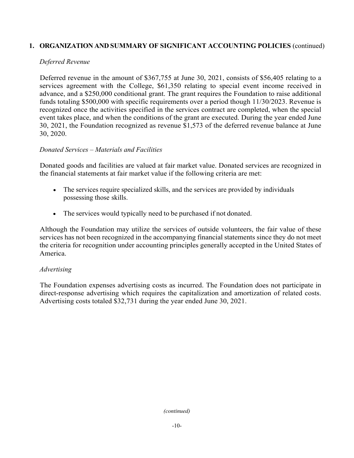# *Deferred Revenue*

Deferred revenue in the amount of \$367,755 at June 30, 2021, consists of \$56,405 relating to a services agreement with the College, \$61,350 relating to special event income received in advance, and a \$250,000 conditional grant. The grant requires the Foundation to raise additional funds totaling \$500,000 with specific requirements over a period though 11/30/2023. Revenue is recognized once the activities specified in the services contract are completed, when the special event takes place, and when the conditions of the grant are executed. During the year ended June 30, 2021, the Foundation recognized as revenue \$1,573 of the deferred revenue balance at June 30, 2020.

# *Donated Services – Materials and Facilities*

Donated goods and facilities are valued at fair market value. Donated services are recognized in the financial statements at fair market value if the following criteria are met:

- The services require specialized skills, and the services are provided by individuals possessing those skills.
- The services would typically need to be purchased if not donated.

Although the Foundation may utilize the services of outside volunteers, the fair value of these services has not been recognized in the accompanying financial statements since they do not meet the criteria for recognition under accounting principles generally accepted in the United States of America.

#### *Advertising*

The Foundation expenses advertising costs as incurred. The Foundation does not participate in direct-response advertising which requires the capitalization and amortization of related costs. Advertising costs totaled \$32,731 during the year ended June 30, 2021.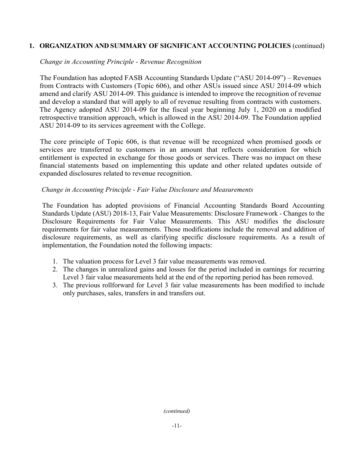*Change in Accounting Principle - Revenue Recognition* 

The Foundation has adopted FASB Accounting Standards Update ("ASU 2014-09") – Revenues from Contracts with Customers (Topic 606), and other ASUs issued since ASU 2014-09 which amend and clarify ASU 2014-09. This guidance is intended to improve the recognition of revenue and develop a standard that will apply to all of revenue resulting from contracts with customers. The Agency adopted ASU 2014-09 for the fiscal year beginning July 1, 2020 on a modified retrospective transition approach, which is allowed in the ASU 2014-09. The Foundation applied ASU 2014-09 to its services agreement with the College.

The core principle of Topic 606, is that revenue will be recognized when promised goods or services are transferred to customers in an amount that reflects consideration for which entitlement is expected in exchange for those goods or services. There was no impact on these financial statements based on implementing this update and other related updates outside of expanded disclosures related to revenue recognition.

## *Change in Accounting Principle - Fair Value Disclosure and Measurements*

The Foundation has adopted provisions of Financial Accounting Standards Board Accounting Standards Update (ASU) 2018-13, Fair Value Measurements: Disclosure Framework - Changes to the Disclosure Requirements for Fair Value Measurements. This ASU modifies the disclosure requirements for fair value measurements. Those modifications include the removal and addition of disclosure requirements, as well as clarifying specific disclosure requirements. As a result of implementation, the Foundation noted the following impacts:

- 1. The valuation process for Level 3 fair value measurements was removed.
- 2. The changes in unrealized gains and losses for the period included in earnings for recurring Level 3 fair value measurements held at the end of the reporting period has been removed.
- 3. The previous rollforward for Level 3 fair value measurements has been modified to include only purchases, sales, transfers in and transfers out.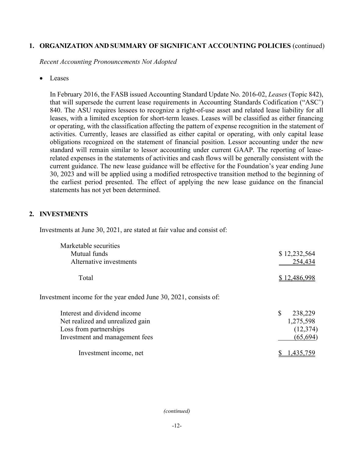*Recent Accounting Pronouncements Not Adopted* 

• Leases

In February 2016, the FASB issued Accounting Standard Update No. 2016-02, *Leases* (Topic 842), that will supersede the current lease requirements in Accounting Standards Codification ("ASC') 840. The ASU requires lessees to recognize a right-of-use asset and related lease liability for all leases, with a limited exception for short-term leases. Leases will be classified as either financing or operating, with the classification affecting the pattern of expense recognition in the statement of activities. Currently, leases are classified as either capital or operating, with only capital lease obligations recognized on the statement of financial position. Lessor accounting under the new standard will remain similar to lessor accounting under current GAAP. The reporting of leaserelated expenses in the statements of activities and cash flows will be generally consistent with the current guidance. The new lease guidance will be effective for the Foundation's year ending June 30, 2023 and will be applied using a modified retrospective transition method to the beginning of the earliest period presented. The effect of applying the new lease guidance on the financial statements has not yet been determined.

## **2. INVESTMENTS**

Investments at June 30, 2021, are stated at fair value and consist of:

| Marketable securities                                            |               |
|------------------------------------------------------------------|---------------|
| Mutual funds                                                     | \$12,232,564  |
| Alternative investments                                          | 254,434       |
| Total                                                            | \$12,486,998  |
| Investment income for the year ended June 30, 2021, consists of: |               |
| Interest and dividend income                                     | \$<br>238,229 |
| Net realized and unrealized gain                                 | 1,275,598     |
| Loss from partnerships                                           | (12, 374)     |
| Investment and management fees                                   | (65, 694)     |
| Investment income, net                                           | .435.759      |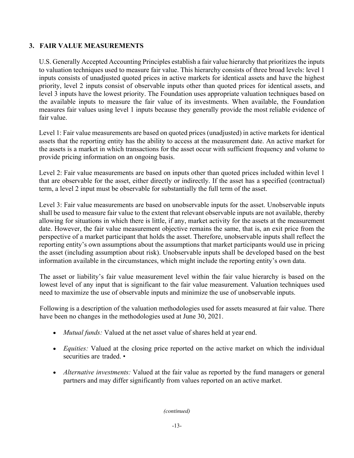# **3. FAIR VALUE MEASUREMENTS**

U.S. Generally Accepted Accounting Principles establish a fair value hierarchy that prioritizes the inputs to valuation techniques used to measure fair value. This hierarchy consists of three broad levels: level 1 inputs consists of unadjusted quoted prices in active markets for identical assets and have the highest priority, level 2 inputs consist of observable inputs other than quoted prices for identical assets, and level 3 inputs have the lowest priority. The Foundation uses appropriate valuation techniques based on the available inputs to measure the fair value of its investments. When available, the Foundation measures fair values using level 1 inputs because they generally provide the most reliable evidence of fair value.

Level 1: Fair value measurements are based on quoted prices (unadjusted) in active markets for identical assets that the reporting entity has the ability to access at the measurement date. An active market for the assets is a market in which transactions for the asset occur with sufficient frequency and volume to provide pricing information on an ongoing basis.

Level 2: Fair value measurements are based on inputs other than quoted prices included within level 1 that are observable for the asset, either directly or indirectly. If the asset has a specified (contractual) term, a level 2 input must be observable for substantially the full term of the asset.

Level 3: Fair value measurements are based on unobservable inputs for the asset. Unobservable inputs shall be used to measure fair value to the extent that relevant observable inputs are not available, thereby allowing for situations in which there is little, if any, market activity for the assets at the measurement date. However, the fair value measurement objective remains the same, that is, an exit price from the perspective of a market participant that holds the asset. Therefore, unobservable inputs shall reflect the reporting entity's own assumptions about the assumptions that market participants would use in pricing the asset (including assumption about risk). Unobservable inputs shall be developed based on the best information available in the circumstances, which might include the reporting entity's own data.

The asset or liability's fair value measurement level within the fair value hierarchy is based on the lowest level of any input that is significant to the fair value measurement. Valuation techniques used need to maximize the use of observable inputs and minimize the use of unobservable inputs.

Following is a description of the valuation methodologies used for assets measured at fair value. There have been no changes in the methodologies used at June 30, 2021.

- *Mutual funds:* Valued at the net asset value of shares held at year end.
- *Equities:* Valued at the closing price reported on the active market on which the individual securities are traded. •
- *Alternative investments:* Valued at the fair value as reported by the fund managers or general partners and may differ significantly from values reported on an active market.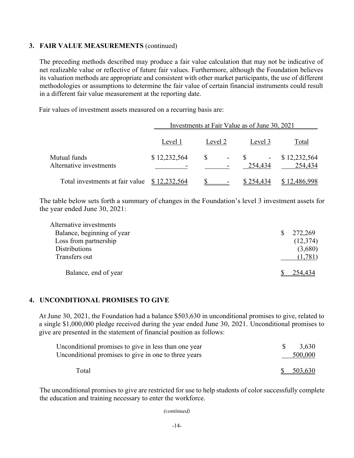## **3. FAIR VALUE MEASUREMENTS** (continued)

The preceding methods described may produce a fair value calculation that may not be indicative of net realizable value or reflective of future fair values. Furthermore, although the Foundation believes its valuation methods are appropriate and consistent with other market participants, the use of different methodologies or assumptions to determine the fair value of certain financial instruments could result in a different fair value measurement at the reporting date.

Fair values of investment assets measured on a recurring basis are:

|                                         | Investments at Fair Value as of June 30, 2021 |                       |           |                              |  |  |
|-----------------------------------------|-----------------------------------------------|-----------------------|-----------|------------------------------|--|--|
|                                         | Level 1                                       | Level 2               | Level 3   | Total                        |  |  |
| Mutual funds<br>Alternative investments | \$12,232,564                                  | <sup>S</sup><br>$-$ S | 254,434   | $-$ \$ 12,232,564<br>254,434 |  |  |
| Total investments at fair value         | \$12,232,564                                  |                       | \$254,434 | \$12,486,998                 |  |  |

The table below sets forth a summary of changes in the Foundation's level 3 investment assets for the year ended June 30, 2021:

| Alternative investments    |                    |
|----------------------------|--------------------|
| Balance, beginning of year | 272,269            |
| Loss from partnership      | (12, 374)          |
| <b>Distributions</b>       | (3,680)            |
| Transfers out              | l,781 <sup>°</sup> |
| Balance, end of year       | 254.434            |

#### **4. UNCONDITIONAL PROMISES TO GIVE**

At June 30, 2021, the Foundation had a balance \$503,630 in unconditional promises to give, related to a single \$1,000,000 pledge received during the year ended June 30, 2021. Unconditional promises to give are presented in the statement of financial position as follows:

| Unconditional promises to give in less than one year | 3,630   |
|------------------------------------------------------|---------|
| Unconditional promises to give in one to three years | 500,000 |
| Total                                                | 503,630 |

The unconditional promises to give are restricted for use to help students of color successfully complete the education and training necessary to enter the workforce.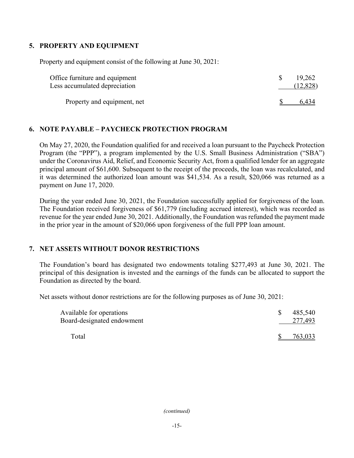## **5. PROPERTY AND EQUIPMENT**

Property and equipment consist of the following at June 30, 2021:

| Office furniture and equipment | 19,262    |
|--------------------------------|-----------|
| Less accumulated depreciation  | (12, 828) |
| Property and equipment, net    |           |

# **6. NOTE PAYABLE – PAYCHECK PROTECTION PROGRAM**

On May 27, 2020, the Foundation qualified for and received a loan pursuant to the Paycheck Protection Program (the "PPP"), a program implemented by the U.S. Small Business Administration ("SBA") under the Coronavirus Aid, Relief, and Economic Security Act, from a qualified lender for an aggregate principal amount of \$61,600. Subsequent to the receipt of the proceeds, the loan was recalculated, and it was determined the authorized loan amount was \$41,534. As a result, \$20,066 was returned as a payment on June 17, 2020.

During the year ended June 30, 2021, the Foundation successfully applied for forgiveness of the loan. The Foundation received forgiveness of \$61,779 (including accrued interest), which was recorded as revenue for the year ended June 30, 2021. Additionally, the Foundation was refunded the payment made in the prior year in the amount of \$20,066 upon forgiveness of the full PPP loan amount.

# **7. NET ASSETS WITHOUT DONOR RESTRICTIONS**

The Foundation's board has designated two endowments totaling \$277,493 at June 30, 2021. The principal of this designation is invested and the earnings of the funds can be allocated to support the Foundation as directed by the board.

Net assets without donor restrictions are for the following purposes as of June 30, 2021:

| Available for operations<br>Board-designated endowment | 485,540<br>277,493 |
|--------------------------------------------------------|--------------------|
| Total                                                  |                    |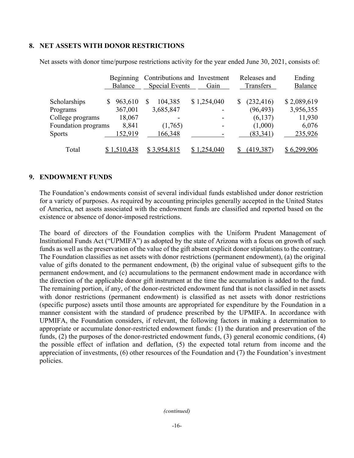#### **8. NET ASSETS WITH DONOR RESTRICTIONS**

|                     | Beginning<br>Balance | Contributions and Investment<br><b>Special Events</b> | Gain        | Releases and<br>Transfers | Ending<br>Balance |
|---------------------|----------------------|-------------------------------------------------------|-------------|---------------------------|-------------------|
| Scholarships        | 963,610<br>\$        | 104,385                                               | \$1,254,040 | (232, 416)<br>\$          | \$2,089,619       |
| Programs            | 367,001              | 3,685,847                                             |             | (96, 493)                 | 3,956,355         |
| College programs    | 18,067               | -                                                     |             | (6,137)                   | 11,930            |
| Foundation programs | 8,841                | (1,765)                                               |             | (1,000)                   | 6,076             |
| <b>Sports</b>       | 152,919              | 166,348                                               |             | (83, 341)                 | 235,926           |
| Total               | \$1,510,438          | \$3,954,815                                           | \$1,254,040 | (419, 387)                | \$6,299,906       |

Net assets with donor time/purpose restrictions activity for the year ended June 30, 2021, consists of:

## **9. ENDOWMENT FUNDS**

The Foundation's endowments consist of several individual funds established under donor restriction for a variety of purposes. As required by accounting principles generally accepted in the United States of America, net assets associated with the endowment funds are classified and reported based on the existence or absence of donor-imposed restrictions.

The board of directors of the Foundation complies with the Uniform Prudent Management of Institutional Funds Act ("UPMIFA") as adopted by the state of Arizona with a focus on growth of such funds as well as the preservation of the value of the gift absent explicit donor stipulations to the contrary. The Foundation classifies as net assets with donor restrictions (permanent endowment), (a) the original value of gifts donated to the permanent endowment, (b) the original value of subsequent gifts to the permanent endowment, and (c) accumulations to the permanent endowment made in accordance with the direction of the applicable donor gift instrument at the time the accumulation is added to the fund. The remaining portion, if any, of the donor-restricted endowment fund that is not classified in net assets with donor restrictions (permanent endowment) is classified as net assets with donor restrictions (specific purpose) assets until those amounts are appropriated for expenditure by the Foundation in a manner consistent with the standard of prudence prescribed by the UPMIFA. In accordance with UPMIFA, the Foundation considers, if relevant, the following factors in making a determination to appropriate or accumulate donor-restricted endowment funds: (1) the duration and preservation of the funds, (2) the purposes of the donor-restricted endowment funds, (3) general economic conditions, (4) the possible effect of inflation and deflation, (5) the expected total return from income and the appreciation of investments, (6) other resources of the Foundation and (7) the Foundation's investment policies.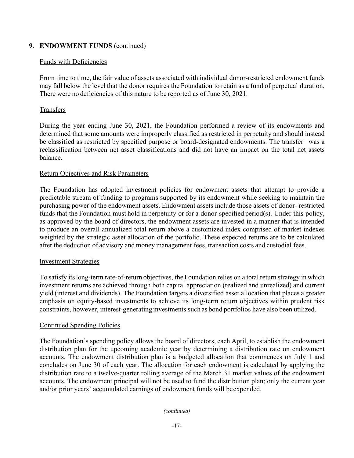# **9. ENDOWMENT FUNDS** (continued)

# Funds with Deficiencies

From time to time, the fair value of assets associated with individual donor-restricted endowment funds may fall below the level that the donor requires the Foundation to retain as a fund of perpetual duration. There were no deficiencies of this nature to be reported as of June 30, 2021.

# Transfers

During the year ending June 30, 2021, the Foundation performed a review of its endowments and determined that some amounts were improperly classified as restricted in perpetuity and should instead be classified as restricted by specified purpose or board-designated endowments. The transfer was a reclassification between net asset classifications and did not have an impact on the total net assets balance.

# Return Objectives and Risk Parameters

The Foundation has adopted investment policies for endowment assets that attempt to provide a predictable stream of funding to programs supported by its endowment while seeking to maintain the purchasing power of the endowment assets. Endowment assets include those assets of donor- restricted funds that the Foundation must hold in perpetuity or for a donor-specified period(s). Under this policy, as approved by the board of directors, the endowment assets are invested in a manner that is intended to produce an overall annualized total return above a customized index comprised of market indexes weighted by the strategic asset allocation of the portfolio. These expected returns are to be calculated after the deduction of advisory and money management fees, transaction costs and custodial fees.

# Investment Strategies

To satisfy its long-term rate-of-return objectives, the Foundation relies on a total return strategy in which investment returns are achieved through both capital appreciation (realized and unrealized) and current yield (interest and dividends). The Foundation targets a diversified asset allocation that places a greater emphasis on equity-based investments to achieve its long-term return objectives within prudent risk constraints, however, interest-generating investments such as bond portfolios have also been utilized.

# Continued Spending Policies

The Foundation's spending policy allows the board of directors, each April, to establish the endowment distribution plan for the upcoming academic year by determining a distribution rate on endowment accounts. The endowment distribution plan is a budgeted allocation that commences on July 1 and concludes on June 30 of each year. The allocation for each endowment is calculated by applying the distribution rate to a twelve-quarter rolling average of the March 31 market values of the endowment accounts. The endowment principal will not be used to fund the distribution plan; only the current year and/or prior years' accumulated earnings of endowment funds will be expended.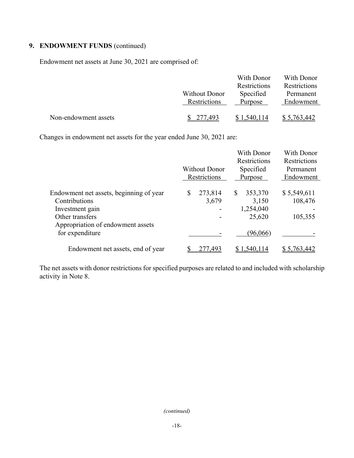# **9. ENDOWMENT FUNDS** (continued)

Endowment net assets at June 30, 2021 are comprised of:

|                      |               | With Donor<br>Restrictions | With Donor<br>Restrictions |
|----------------------|---------------|----------------------------|----------------------------|
|                      | Without Donor | Specified                  | Permanent                  |
|                      | Restrictions  | Purpose                    | Endowment                  |
| Non-endowment assets | 277.493       | \$1,540,114                | \$5,763,442                |

Changes in endowment net assets for the year ended June 30, 2021 are:

|                                                                                                | <b>Without Donor</b><br>Restrictions | <b>With Donor</b><br>Restrictions<br>Specified<br>Purpose | <b>With Donor</b><br>Restrictions<br>Permanent<br>Endowment |
|------------------------------------------------------------------------------------------------|--------------------------------------|-----------------------------------------------------------|-------------------------------------------------------------|
| Endowment net assets, beginning of year<br>Contributions<br>Investment gain<br>Other transfers | \$<br>273,814<br>3,679               | 353,370<br>\$<br>3,150<br>1,254,040<br>25,620             | \$5,549,611<br>108,476<br>105,355                           |
| Appropriation of endowment assets<br>for expenditure                                           |                                      | (96,066)                                                  |                                                             |
| Endowment net assets, end of year                                                              | 277,493                              | 1,540,114                                                 | \$5,763,442                                                 |

The net assets with donor restrictions for specified purposes are related to and included with scholarship activity in Note 8.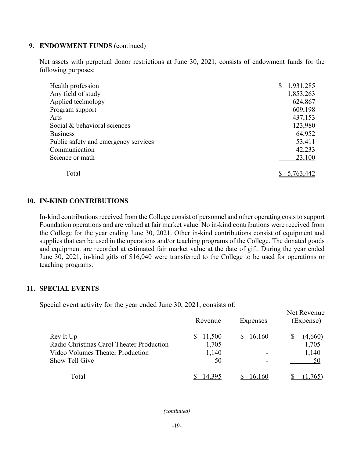#### **9. ENDOWMENT FUNDS** (continued)

Net assets with perpetual donor restrictions at June 30, 2021, consists of endowment funds for the following purposes:

| Health profession                    | \$1,931,285 |
|--------------------------------------|-------------|
| Any field of study                   | 1,853,263   |
| Applied technology                   | 624,867     |
| Program support                      | 609,198     |
| Arts                                 | 437,153     |
| Social & behavioral sciences         | 123,980     |
| <b>Business</b>                      | 64,952      |
| Public safety and emergency services | 53,411      |
| Communication                        | 42,233      |
| Science or math                      | 23,100      |
| Total                                | 5,763,442   |

#### **10. IN-KIND CONTRIBUTIONS**

In-kind contributions received from the College consist of personnel and other operating costs to support Foundation operations and are valued at fair market value. No in-kind contributions were received from the College for the year ending June 30, 2021. Other in-kind contributions consist of equipment and supplies that can be used in the operations and/or teaching programs of the College. The donated goods and equipment are recorded at estimated fair market value at the date of gift. During the year ended June 30, 2021, in-kind gifts of \$16,040 were transferred to the College to be used for operations or teaching programs.

#### **11. SPECIAL EVENTS**

Special event activity for the year ended June 30, 2021, consists of:

|                                                                                                             | Revenue                             | Expenses     | Net Revenue<br>(Expense)        |
|-------------------------------------------------------------------------------------------------------------|-------------------------------------|--------------|---------------------------------|
| Rev It Up<br>Radio Christmas Carol Theater Production<br>Video Volumes Theater Production<br>Show Tell Give | 11,500<br>S<br>1,705<br>1,140<br>50 | 16,160<br>S. | (4,660)<br>1,705<br>1,140<br>50 |
| Total                                                                                                       | 14.395                              | 16.160       | 765                             |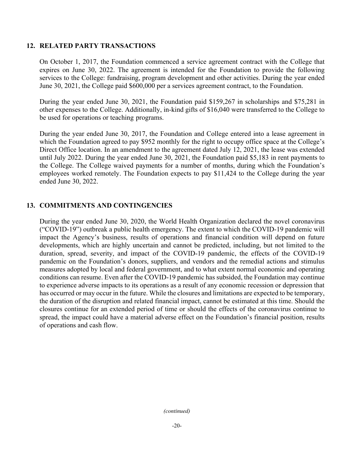# **12. RELATED PARTY TRANSACTIONS**

On October 1, 2017, the Foundation commenced a service agreement contract with the College that expires on June 30, 2022. The agreement is intended for the Foundation to provide the following services to the College: fundraising, program development and other activities. During the year ended June 30, 2021, the College paid \$600,000 per a services agreement contract, to the Foundation.

During the year ended June 30, 2021, the Foundation paid \$159,267 in scholarships and \$75,281 in other expenses to the College. Additionally, in-kind gifts of \$16,040 were transferred to the College to be used for operations or teaching programs.

During the year ended June 30, 2017, the Foundation and College entered into a lease agreement in which the Foundation agreed to pay \$952 monthly for the right to occupy office space at the College's Direct Office location. In an amendment to the agreement dated July 12, 2021, the lease was extended until July 2022. During the year ended June 30, 2021, the Foundation paid \$5,183 in rent payments to the College. The College waived payments for a number of months, during which the Foundation's employees worked remotely. The Foundation expects to pay \$11,424 to the College during the year ended June 30, 2022.

# **13. COMMITMENTS AND CONTINGENCIES**

During the year ended June 30, 2020, the World Health Organization declared the novel coronavirus ("COVID-19") outbreak a public health emergency. The extent to which the COVID-19 pandemic will impact the Agency's business, results of operations and financial condition will depend on future developments, which are highly uncertain and cannot be predicted, including, but not limited to the duration, spread, severity, and impact of the COVID-19 pandemic, the effects of the COVID-19 pandemic on the Foundation's donors, suppliers, and vendors and the remedial actions and stimulus measures adopted by local and federal government, and to what extent normal economic and operating conditions can resume. Even after the COVID-19 pandemic has subsided, the Foundation may continue to experience adverse impacts to its operations as a result of any economic recession or depression that has occurred or may occur in the future. While the closures and limitations are expected to be temporary, the duration of the disruption and related financial impact, cannot be estimated at this time. Should the closures continue for an extended period of time or should the effects of the coronavirus continue to spread, the impact could have a material adverse effect on the Foundation's financial position, results of operations and cash flow.